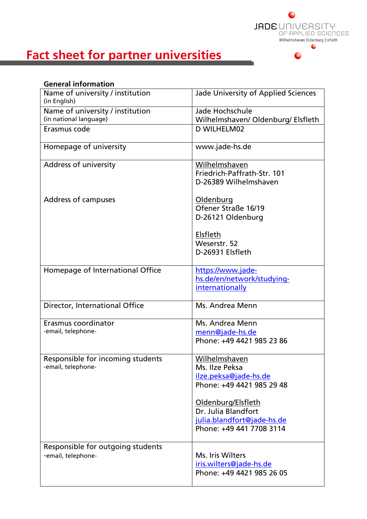

# **Fact sheet for partner universities**

#### **General information**

| Name of university / institution<br>(in English)           | Jade University of Applied Sciences                                                                   |
|------------------------------------------------------------|-------------------------------------------------------------------------------------------------------|
| Name of university / institution<br>(in national language) | Jade Hochschule<br>Wilhelmshaven/ Oldenburg/ Elsfleth                                                 |
| Erasmus code                                               | D WILHELM02                                                                                           |
| Homepage of university                                     | www.jade-hs.de                                                                                        |
| Address of university                                      | Wilhelmshaven<br>Friedrich-Paffrath-Str. 101<br>D-26389 Wilhelmshaven                                 |
| Address of campuses                                        | Oldenburg<br>Ofener Straße 16/19<br>D-26121 Oldenburg<br>Elsfleth<br>Weserstr. 52<br>D-26931 Elsfleth |
|                                                            |                                                                                                       |
| Homepage of International Office                           | https://www.jade-<br>hs.de/en/network/studying-<br><i>internationally</i>                             |
| Director, International Office                             | Ms. Andrea Menn                                                                                       |
| Erasmus coordinator<br>-email, telephone-                  | Ms. Andrea Menn<br>menn@jade-hs.de<br>Phone: +49 4421 985 23 86                                       |
| Responsible for incoming students<br>-email, telephone-    | Wilhelmshaven<br>Ms. Ilze Peksa<br>ilze.peksa@jade-hs.de<br>Phone: +49 4421 985 29 48                 |
|                                                            | Oldenburg/Elsfleth<br>Dr. Julia Blandfort<br>julia.blandfort@jade-hs.de<br>Phone: +49 441 7708 3114   |
| Responsible for outgoing students<br>-email, telephone-    | Ms. Iris Wilters<br>iris.wilters@jade-hs.de<br>Phone: +49 4421 985 26 05                              |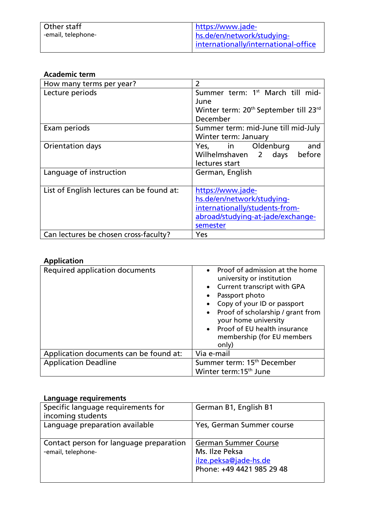| Other staff<br>-email, telephone- | https://www.jade-<br>hs.de/en/network/studying-<br>internationally/international-office |
|-----------------------------------|-----------------------------------------------------------------------------------------|
|                                   |                                                                                         |

## **Academic term**

| How many terms per year?                  | $\overline{2}$                                                |
|-------------------------------------------|---------------------------------------------------------------|
| Lecture periods                           | Summer term: 1st March till mid-                              |
|                                           | June                                                          |
|                                           | Winter term: 20 <sup>th</sup> September till 23 <sup>rd</sup> |
|                                           | December                                                      |
| Exam periods                              | Summer term: mid-June till mid-July                           |
|                                           | Winter term: January                                          |
| Orientation days                          | Oldenburg<br>Yes, in<br>and                                   |
|                                           | Wilhelmshaven 2 days<br>before                                |
|                                           | lectures start                                                |
| Language of instruction                   | German, English                                               |
|                                           |                                                               |
| List of English lectures can be found at: | https://www.jade-                                             |
|                                           | hs.de/en/network/studying-                                    |
|                                           | internationally/students-from-                                |
|                                           | abroad/studying-at-jade/exchange-                             |
|                                           | semester                                                      |
| Can lectures be chosen cross-faculty?     | Yes                                                           |

## **Application**

| <b>Required application documents</b>  | Proof of admission at the home<br>university or institution<br>Current transcript with GPA<br>Passport photo<br>Copy of your ID or passport<br>Proof of scholarship / grant from<br>your home university<br>Proof of EU health insurance<br>membership (for EU members<br>only) |
|----------------------------------------|---------------------------------------------------------------------------------------------------------------------------------------------------------------------------------------------------------------------------------------------------------------------------------|
| Application documents can be found at: | Via e-mail                                                                                                                                                                                                                                                                      |
| <b>Application Deadline</b>            | Summer term: 15 <sup>th</sup> December<br>Winter term: 15 <sup>th</sup> June                                                                                                                                                                                                    |

## **Language requirements**

| Specific language requirements for<br>incoming students       | German B1, English B1                                                                               |
|---------------------------------------------------------------|-----------------------------------------------------------------------------------------------------|
| Language preparation available                                | Yes, German Summer course                                                                           |
| Contact person for language preparation<br>-email, telephone- | <b>German Summer Course</b><br>Ms. Ilze Peksa<br>ilze.peksa@jade-hs.de<br>Phone: +49 4421 985 29 48 |